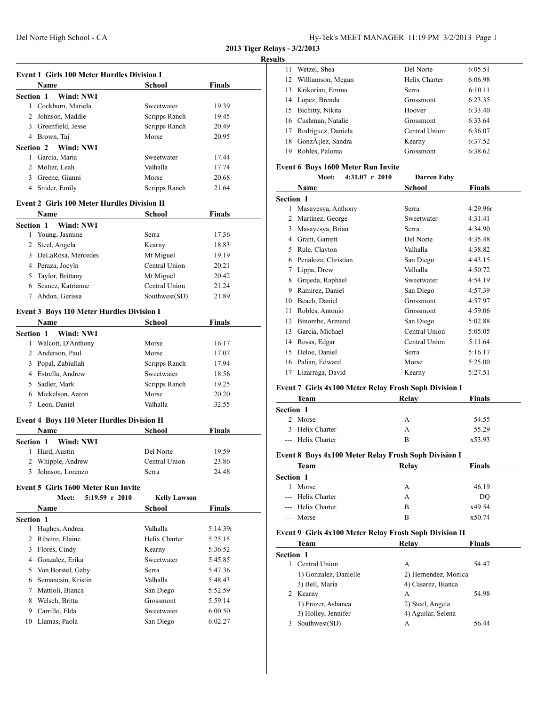#### **Results**

| <b>Finals</b><br>Name<br>School<br><b>Section 1</b><br><b>Wind: NWI</b><br>1 Cockburn, Mariela<br>Sweetwater<br>19.39<br>2 Johnson, Maddie<br>Scripps Ranch<br>19.45<br>3 Greenfield, Jesse<br>Scripps Ranch<br>20.49<br>4 Brown, Taj<br>Morse<br>20.95<br>Section 2<br>Wind: NWI<br>1 Garcia, Maria<br>Sweetwater<br>17.44<br>2 Molter, Leah<br>Valhalla<br>17.74<br>3 Greene, Gianni<br>Morse<br>20.68<br>4 Snider, Emily<br>Scripps Ranch<br>21.64<br><b>Event 2 Girls 100 Meter Hurdles Division II</b><br><b>Name</b><br>School<br><b>Finals</b><br><b>Section 1</b><br>Wind: NWI<br>1 Young, Jasmine<br>17.36<br>Serra<br>2 Steel, Angela<br>18.83<br>Kearny<br>DeLaRosa, Mercedes<br>Mt Miguel<br>3<br>19.19<br>4 Peraza, Jocyln<br>Central Union<br>20.21<br>5 Taylor, Brittany<br>Mt Miguel<br>20.42<br>Central Union<br>6 Seanez, Katrianne<br>21.24<br>Abdon, Gerissa<br>Southwest(SD)<br>7<br>21.89<br><b>Event 3 Boys 110 Meter Hurdles Division I</b><br>Finals<br><b>Name</b><br>School<br><b>Section 1</b><br>Wind: NWI<br>1 Walcott, D'Anthony<br>Morse<br>16.17<br>2 Anderson, Paul<br>Morse<br>17.07<br>3 Popal, Zabiullah<br>Scripps Ranch<br>17.94<br>4 Estrella, Andrew<br>Sweetwater<br>18.56<br>5 Sadler, Mark<br>Scripps Ranch<br>19.25<br>Morse<br>6 Mickelson, Aaron<br>20.20<br>7 Leon, Daniel<br>Valhalla<br>32.55<br><b>Event 4 Boys 110 Meter Hurdles Division II</b><br><b>Finals</b><br><b>Name</b><br>School<br>Wind: NWI<br><b>Section 1</b><br>Hurd, Austin<br>Del Norte<br>1<br>19.59<br>Whipple, Andrew<br>Central Union<br>2<br>23.86<br>24.48<br>Johnson, Lorenzo<br>Serra<br>Event 5 Girls 1600 Meter Run Invite<br>5:19.59 r 2010<br>Meet:<br><b>Kelly Lawson</b><br><b>Finals</b><br>Name<br>School<br>Section 1<br>Hughes, Andrea<br>1<br>Valhalla<br>5:14.39r<br>Ribeiro, Elaine<br>Helix Charter<br>2<br>5:25.15<br>Flores, Cindy<br>3<br>Kearny<br>5:36.52<br>4 Gonzalez, Erika<br>Sweetwater<br>5:45.85<br>5 Von Borstel, Gaby<br>5:47.36<br>Serra<br>6 Semancsin, Kristin<br>Valhalla<br>5:48.43<br>Mattioli, Bianca<br>San Diego<br>7<br>5:52.59<br>Welsch, Britta<br>Grossmont<br>8<br>5:59.14<br>9 Carrillo, Elda<br>Sweetwater<br>6:00.50 | <b>Event 1 Girls 100 Meter Hurdles Division I</b> |  |
|------------------------------------------------------------------------------------------------------------------------------------------------------------------------------------------------------------------------------------------------------------------------------------------------------------------------------------------------------------------------------------------------------------------------------------------------------------------------------------------------------------------------------------------------------------------------------------------------------------------------------------------------------------------------------------------------------------------------------------------------------------------------------------------------------------------------------------------------------------------------------------------------------------------------------------------------------------------------------------------------------------------------------------------------------------------------------------------------------------------------------------------------------------------------------------------------------------------------------------------------------------------------------------------------------------------------------------------------------------------------------------------------------------------------------------------------------------------------------------------------------------------------------------------------------------------------------------------------------------------------------------------------------------------------------------------------------------------------------------------------------------------------------------------------------------------------------------------------------------------------------------------------------------------------------------------------------------------------------------------------------------------------------------------------------------------------------------------------------------------------------------------------------------------------------------------------|---------------------------------------------------|--|
|                                                                                                                                                                                                                                                                                                                                                                                                                                                                                                                                                                                                                                                                                                                                                                                                                                                                                                                                                                                                                                                                                                                                                                                                                                                                                                                                                                                                                                                                                                                                                                                                                                                                                                                                                                                                                                                                                                                                                                                                                                                                                                                                                                                                |                                                   |  |
|                                                                                                                                                                                                                                                                                                                                                                                                                                                                                                                                                                                                                                                                                                                                                                                                                                                                                                                                                                                                                                                                                                                                                                                                                                                                                                                                                                                                                                                                                                                                                                                                                                                                                                                                                                                                                                                                                                                                                                                                                                                                                                                                                                                                |                                                   |  |
|                                                                                                                                                                                                                                                                                                                                                                                                                                                                                                                                                                                                                                                                                                                                                                                                                                                                                                                                                                                                                                                                                                                                                                                                                                                                                                                                                                                                                                                                                                                                                                                                                                                                                                                                                                                                                                                                                                                                                                                                                                                                                                                                                                                                |                                                   |  |
|                                                                                                                                                                                                                                                                                                                                                                                                                                                                                                                                                                                                                                                                                                                                                                                                                                                                                                                                                                                                                                                                                                                                                                                                                                                                                                                                                                                                                                                                                                                                                                                                                                                                                                                                                                                                                                                                                                                                                                                                                                                                                                                                                                                                |                                                   |  |
|                                                                                                                                                                                                                                                                                                                                                                                                                                                                                                                                                                                                                                                                                                                                                                                                                                                                                                                                                                                                                                                                                                                                                                                                                                                                                                                                                                                                                                                                                                                                                                                                                                                                                                                                                                                                                                                                                                                                                                                                                                                                                                                                                                                                |                                                   |  |
|                                                                                                                                                                                                                                                                                                                                                                                                                                                                                                                                                                                                                                                                                                                                                                                                                                                                                                                                                                                                                                                                                                                                                                                                                                                                                                                                                                                                                                                                                                                                                                                                                                                                                                                                                                                                                                                                                                                                                                                                                                                                                                                                                                                                |                                                   |  |
|                                                                                                                                                                                                                                                                                                                                                                                                                                                                                                                                                                                                                                                                                                                                                                                                                                                                                                                                                                                                                                                                                                                                                                                                                                                                                                                                                                                                                                                                                                                                                                                                                                                                                                                                                                                                                                                                                                                                                                                                                                                                                                                                                                                                |                                                   |  |
|                                                                                                                                                                                                                                                                                                                                                                                                                                                                                                                                                                                                                                                                                                                                                                                                                                                                                                                                                                                                                                                                                                                                                                                                                                                                                                                                                                                                                                                                                                                                                                                                                                                                                                                                                                                                                                                                                                                                                                                                                                                                                                                                                                                                |                                                   |  |
|                                                                                                                                                                                                                                                                                                                                                                                                                                                                                                                                                                                                                                                                                                                                                                                                                                                                                                                                                                                                                                                                                                                                                                                                                                                                                                                                                                                                                                                                                                                                                                                                                                                                                                                                                                                                                                                                                                                                                                                                                                                                                                                                                                                                |                                                   |  |
|                                                                                                                                                                                                                                                                                                                                                                                                                                                                                                                                                                                                                                                                                                                                                                                                                                                                                                                                                                                                                                                                                                                                                                                                                                                                                                                                                                                                                                                                                                                                                                                                                                                                                                                                                                                                                                                                                                                                                                                                                                                                                                                                                                                                |                                                   |  |
|                                                                                                                                                                                                                                                                                                                                                                                                                                                                                                                                                                                                                                                                                                                                                                                                                                                                                                                                                                                                                                                                                                                                                                                                                                                                                                                                                                                                                                                                                                                                                                                                                                                                                                                                                                                                                                                                                                                                                                                                                                                                                                                                                                                                |                                                   |  |
|                                                                                                                                                                                                                                                                                                                                                                                                                                                                                                                                                                                                                                                                                                                                                                                                                                                                                                                                                                                                                                                                                                                                                                                                                                                                                                                                                                                                                                                                                                                                                                                                                                                                                                                                                                                                                                                                                                                                                                                                                                                                                                                                                                                                |                                                   |  |
|                                                                                                                                                                                                                                                                                                                                                                                                                                                                                                                                                                                                                                                                                                                                                                                                                                                                                                                                                                                                                                                                                                                                                                                                                                                                                                                                                                                                                                                                                                                                                                                                                                                                                                                                                                                                                                                                                                                                                                                                                                                                                                                                                                                                |                                                   |  |
|                                                                                                                                                                                                                                                                                                                                                                                                                                                                                                                                                                                                                                                                                                                                                                                                                                                                                                                                                                                                                                                                                                                                                                                                                                                                                                                                                                                                                                                                                                                                                                                                                                                                                                                                                                                                                                                                                                                                                                                                                                                                                                                                                                                                |                                                   |  |
|                                                                                                                                                                                                                                                                                                                                                                                                                                                                                                                                                                                                                                                                                                                                                                                                                                                                                                                                                                                                                                                                                                                                                                                                                                                                                                                                                                                                                                                                                                                                                                                                                                                                                                                                                                                                                                                                                                                                                                                                                                                                                                                                                                                                |                                                   |  |
|                                                                                                                                                                                                                                                                                                                                                                                                                                                                                                                                                                                                                                                                                                                                                                                                                                                                                                                                                                                                                                                                                                                                                                                                                                                                                                                                                                                                                                                                                                                                                                                                                                                                                                                                                                                                                                                                                                                                                                                                                                                                                                                                                                                                |                                                   |  |
|                                                                                                                                                                                                                                                                                                                                                                                                                                                                                                                                                                                                                                                                                                                                                                                                                                                                                                                                                                                                                                                                                                                                                                                                                                                                                                                                                                                                                                                                                                                                                                                                                                                                                                                                                                                                                                                                                                                                                                                                                                                                                                                                                                                                |                                                   |  |
|                                                                                                                                                                                                                                                                                                                                                                                                                                                                                                                                                                                                                                                                                                                                                                                                                                                                                                                                                                                                                                                                                                                                                                                                                                                                                                                                                                                                                                                                                                                                                                                                                                                                                                                                                                                                                                                                                                                                                                                                                                                                                                                                                                                                |                                                   |  |
|                                                                                                                                                                                                                                                                                                                                                                                                                                                                                                                                                                                                                                                                                                                                                                                                                                                                                                                                                                                                                                                                                                                                                                                                                                                                                                                                                                                                                                                                                                                                                                                                                                                                                                                                                                                                                                                                                                                                                                                                                                                                                                                                                                                                |                                                   |  |
|                                                                                                                                                                                                                                                                                                                                                                                                                                                                                                                                                                                                                                                                                                                                                                                                                                                                                                                                                                                                                                                                                                                                                                                                                                                                                                                                                                                                                                                                                                                                                                                                                                                                                                                                                                                                                                                                                                                                                                                                                                                                                                                                                                                                |                                                   |  |
|                                                                                                                                                                                                                                                                                                                                                                                                                                                                                                                                                                                                                                                                                                                                                                                                                                                                                                                                                                                                                                                                                                                                                                                                                                                                                                                                                                                                                                                                                                                                                                                                                                                                                                                                                                                                                                                                                                                                                                                                                                                                                                                                                                                                |                                                   |  |
|                                                                                                                                                                                                                                                                                                                                                                                                                                                                                                                                                                                                                                                                                                                                                                                                                                                                                                                                                                                                                                                                                                                                                                                                                                                                                                                                                                                                                                                                                                                                                                                                                                                                                                                                                                                                                                                                                                                                                                                                                                                                                                                                                                                                |                                                   |  |
|                                                                                                                                                                                                                                                                                                                                                                                                                                                                                                                                                                                                                                                                                                                                                                                                                                                                                                                                                                                                                                                                                                                                                                                                                                                                                                                                                                                                                                                                                                                                                                                                                                                                                                                                                                                                                                                                                                                                                                                                                                                                                                                                                                                                |                                                   |  |
|                                                                                                                                                                                                                                                                                                                                                                                                                                                                                                                                                                                                                                                                                                                                                                                                                                                                                                                                                                                                                                                                                                                                                                                                                                                                                                                                                                                                                                                                                                                                                                                                                                                                                                                                                                                                                                                                                                                                                                                                                                                                                                                                                                                                |                                                   |  |
|                                                                                                                                                                                                                                                                                                                                                                                                                                                                                                                                                                                                                                                                                                                                                                                                                                                                                                                                                                                                                                                                                                                                                                                                                                                                                                                                                                                                                                                                                                                                                                                                                                                                                                                                                                                                                                                                                                                                                                                                                                                                                                                                                                                                |                                                   |  |
|                                                                                                                                                                                                                                                                                                                                                                                                                                                                                                                                                                                                                                                                                                                                                                                                                                                                                                                                                                                                                                                                                                                                                                                                                                                                                                                                                                                                                                                                                                                                                                                                                                                                                                                                                                                                                                                                                                                                                                                                                                                                                                                                                                                                |                                                   |  |
|                                                                                                                                                                                                                                                                                                                                                                                                                                                                                                                                                                                                                                                                                                                                                                                                                                                                                                                                                                                                                                                                                                                                                                                                                                                                                                                                                                                                                                                                                                                                                                                                                                                                                                                                                                                                                                                                                                                                                                                                                                                                                                                                                                                                |                                                   |  |
|                                                                                                                                                                                                                                                                                                                                                                                                                                                                                                                                                                                                                                                                                                                                                                                                                                                                                                                                                                                                                                                                                                                                                                                                                                                                                                                                                                                                                                                                                                                                                                                                                                                                                                                                                                                                                                                                                                                                                                                                                                                                                                                                                                                                |                                                   |  |
|                                                                                                                                                                                                                                                                                                                                                                                                                                                                                                                                                                                                                                                                                                                                                                                                                                                                                                                                                                                                                                                                                                                                                                                                                                                                                                                                                                                                                                                                                                                                                                                                                                                                                                                                                                                                                                                                                                                                                                                                                                                                                                                                                                                                |                                                   |  |
|                                                                                                                                                                                                                                                                                                                                                                                                                                                                                                                                                                                                                                                                                                                                                                                                                                                                                                                                                                                                                                                                                                                                                                                                                                                                                                                                                                                                                                                                                                                                                                                                                                                                                                                                                                                                                                                                                                                                                                                                                                                                                                                                                                                                |                                                   |  |
|                                                                                                                                                                                                                                                                                                                                                                                                                                                                                                                                                                                                                                                                                                                                                                                                                                                                                                                                                                                                                                                                                                                                                                                                                                                                                                                                                                                                                                                                                                                                                                                                                                                                                                                                                                                                                                                                                                                                                                                                                                                                                                                                                                                                |                                                   |  |
|                                                                                                                                                                                                                                                                                                                                                                                                                                                                                                                                                                                                                                                                                                                                                                                                                                                                                                                                                                                                                                                                                                                                                                                                                                                                                                                                                                                                                                                                                                                                                                                                                                                                                                                                                                                                                                                                                                                                                                                                                                                                                                                                                                                                |                                                   |  |
|                                                                                                                                                                                                                                                                                                                                                                                                                                                                                                                                                                                                                                                                                                                                                                                                                                                                                                                                                                                                                                                                                                                                                                                                                                                                                                                                                                                                                                                                                                                                                                                                                                                                                                                                                                                                                                                                                                                                                                                                                                                                                                                                                                                                |                                                   |  |
|                                                                                                                                                                                                                                                                                                                                                                                                                                                                                                                                                                                                                                                                                                                                                                                                                                                                                                                                                                                                                                                                                                                                                                                                                                                                                                                                                                                                                                                                                                                                                                                                                                                                                                                                                                                                                                                                                                                                                                                                                                                                                                                                                                                                |                                                   |  |
|                                                                                                                                                                                                                                                                                                                                                                                                                                                                                                                                                                                                                                                                                                                                                                                                                                                                                                                                                                                                                                                                                                                                                                                                                                                                                                                                                                                                                                                                                                                                                                                                                                                                                                                                                                                                                                                                                                                                                                                                                                                                                                                                                                                                |                                                   |  |
|                                                                                                                                                                                                                                                                                                                                                                                                                                                                                                                                                                                                                                                                                                                                                                                                                                                                                                                                                                                                                                                                                                                                                                                                                                                                                                                                                                                                                                                                                                                                                                                                                                                                                                                                                                                                                                                                                                                                                                                                                                                                                                                                                                                                |                                                   |  |
|                                                                                                                                                                                                                                                                                                                                                                                                                                                                                                                                                                                                                                                                                                                                                                                                                                                                                                                                                                                                                                                                                                                                                                                                                                                                                                                                                                                                                                                                                                                                                                                                                                                                                                                                                                                                                                                                                                                                                                                                                                                                                                                                                                                                |                                                   |  |
|                                                                                                                                                                                                                                                                                                                                                                                                                                                                                                                                                                                                                                                                                                                                                                                                                                                                                                                                                                                                                                                                                                                                                                                                                                                                                                                                                                                                                                                                                                                                                                                                                                                                                                                                                                                                                                                                                                                                                                                                                                                                                                                                                                                                |                                                   |  |
|                                                                                                                                                                                                                                                                                                                                                                                                                                                                                                                                                                                                                                                                                                                                                                                                                                                                                                                                                                                                                                                                                                                                                                                                                                                                                                                                                                                                                                                                                                                                                                                                                                                                                                                                                                                                                                                                                                                                                                                                                                                                                                                                                                                                |                                                   |  |
|                                                                                                                                                                                                                                                                                                                                                                                                                                                                                                                                                                                                                                                                                                                                                                                                                                                                                                                                                                                                                                                                                                                                                                                                                                                                                                                                                                                                                                                                                                                                                                                                                                                                                                                                                                                                                                                                                                                                                                                                                                                                                                                                                                                                |                                                   |  |
|                                                                                                                                                                                                                                                                                                                                                                                                                                                                                                                                                                                                                                                                                                                                                                                                                                                                                                                                                                                                                                                                                                                                                                                                                                                                                                                                                                                                                                                                                                                                                                                                                                                                                                                                                                                                                                                                                                                                                                                                                                                                                                                                                                                                |                                                   |  |
|                                                                                                                                                                                                                                                                                                                                                                                                                                                                                                                                                                                                                                                                                                                                                                                                                                                                                                                                                                                                                                                                                                                                                                                                                                                                                                                                                                                                                                                                                                                                                                                                                                                                                                                                                                                                                                                                                                                                                                                                                                                                                                                                                                                                |                                                   |  |
|                                                                                                                                                                                                                                                                                                                                                                                                                                                                                                                                                                                                                                                                                                                                                                                                                                                                                                                                                                                                                                                                                                                                                                                                                                                                                                                                                                                                                                                                                                                                                                                                                                                                                                                                                                                                                                                                                                                                                                                                                                                                                                                                                                                                |                                                   |  |
|                                                                                                                                                                                                                                                                                                                                                                                                                                                                                                                                                                                                                                                                                                                                                                                                                                                                                                                                                                                                                                                                                                                                                                                                                                                                                                                                                                                                                                                                                                                                                                                                                                                                                                                                                                                                                                                                                                                                                                                                                                                                                                                                                                                                |                                                   |  |
|                                                                                                                                                                                                                                                                                                                                                                                                                                                                                                                                                                                                                                                                                                                                                                                                                                                                                                                                                                                                                                                                                                                                                                                                                                                                                                                                                                                                                                                                                                                                                                                                                                                                                                                                                                                                                                                                                                                                                                                                                                                                                                                                                                                                |                                                   |  |
|                                                                                                                                                                                                                                                                                                                                                                                                                                                                                                                                                                                                                                                                                                                                                                                                                                                                                                                                                                                                                                                                                                                                                                                                                                                                                                                                                                                                                                                                                                                                                                                                                                                                                                                                                                                                                                                                                                                                                                                                                                                                                                                                                                                                |                                                   |  |
|                                                                                                                                                                                                                                                                                                                                                                                                                                                                                                                                                                                                                                                                                                                                                                                                                                                                                                                                                                                                                                                                                                                                                                                                                                                                                                                                                                                                                                                                                                                                                                                                                                                                                                                                                                                                                                                                                                                                                                                                                                                                                                                                                                                                |                                                   |  |
|                                                                                                                                                                                                                                                                                                                                                                                                                                                                                                                                                                                                                                                                                                                                                                                                                                                                                                                                                                                                                                                                                                                                                                                                                                                                                                                                                                                                                                                                                                                                                                                                                                                                                                                                                                                                                                                                                                                                                                                                                                                                                                                                                                                                |                                                   |  |
|                                                                                                                                                                                                                                                                                                                                                                                                                                                                                                                                                                                                                                                                                                                                                                                                                                                                                                                                                                                                                                                                                                                                                                                                                                                                                                                                                                                                                                                                                                                                                                                                                                                                                                                                                                                                                                                                                                                                                                                                                                                                                                                                                                                                |                                                   |  |
|                                                                                                                                                                                                                                                                                                                                                                                                                                                                                                                                                                                                                                                                                                                                                                                                                                                                                                                                                                                                                                                                                                                                                                                                                                                                                                                                                                                                                                                                                                                                                                                                                                                                                                                                                                                                                                                                                                                                                                                                                                                                                                                                                                                                |                                                   |  |
|                                                                                                                                                                                                                                                                                                                                                                                                                                                                                                                                                                                                                                                                                                                                                                                                                                                                                                                                                                                                                                                                                                                                                                                                                                                                                                                                                                                                                                                                                                                                                                                                                                                                                                                                                                                                                                                                                                                                                                                                                                                                                                                                                                                                |                                                   |  |
|                                                                                                                                                                                                                                                                                                                                                                                                                                                                                                                                                                                                                                                                                                                                                                                                                                                                                                                                                                                                                                                                                                                                                                                                                                                                                                                                                                                                                                                                                                                                                                                                                                                                                                                                                                                                                                                                                                                                                                                                                                                                                                                                                                                                |                                                   |  |

Llamas, Paola San Diego 6:02.27

| ıs |                                |               |         |
|----|--------------------------------|---------------|---------|
| 11 | Wetzel, Shea                   | Del Norte     | 6:05.51 |
|    | 12 Williamson, Megan           | Helix Charter | 6:06.98 |
|    | 13 Krikorian, Emma             | Serra         | 6:10.11 |
|    | 14 Lopez, Brenda               | Grossmont     | 6:23.35 |
| 15 | Bichitty, Nikita               | Hoover        | 6:33.40 |
|    | 16 Cushman, Natalie            | Grossmont     | 6:33.64 |
| 17 | Rodriguez, Daniela             | Central Union | 6:36.07 |
| 18 | GonzÃ <sub>i</sub> lez, Sandra | Kearny        | 6:37.52 |
| 19 | Robles, Paloma                 | Grossmont     | 6:38.62 |

#### **Event 6 Boys 1600 Meter Run Invite**

|                  | $4:31.07$ r 2010<br>Meet: | <b>Darren Fahy</b> |          |
|------------------|---------------------------|--------------------|----------|
|                  | Name                      | School             | Finals   |
| <b>Section 1</b> |                           |                    |          |
| 1                | Masayesya, Anthony        | Serra              | 4:29.96r |
| 2                | Martinez, George          | Sweetwater         | 4:31.41  |
| 3                | Masayesya, Brian          | Serra              | 4:34.90  |
| 4                | Grant, Garrett            | Del Norte          | 4:35.48  |
| 5                | Rule, Clayton             | Valhalla           | 4:38.82  |
| 6                | Penaloza, Christian       | San Diego          | 4:43.15  |
| 7                | Lippa, Drew               | Valhalla           | 4:50.72  |
| 8                | Grajeda, Raphael          | Sweetwater         | 4:54.19  |
| 9                | Ramirez, Daniel           | San Diego          | 4:57.39  |
| 10               | Beach, Daniel             | Grossmont          | 4:57.97  |
| 11               | Robles, Antonio           | Grossmont          | 4:59.06  |
| 12               | Binombe, Armand           | San Diego          | 5:02.88  |
| 13               | Garcia, Michael           | Central Union      | 5:05.05  |
| 14               | Rosas, Edgar              | Central Union      | 5:11.64  |
| 15               | Deloe, Daniel             | Serra              | 5:16.17  |
| 16               | Palian, Edward            | Morse              | 5:25.00  |
| 17               | Lizarraga, David          | Kearny             | 5:27.51  |

#### **Event 7 Girls 4x100 Meter Relay Frosh Soph Division I**

|                  | Team              | Relay | <b>Finals</b> |  |
|------------------|-------------------|-------|---------------|--|
| <b>Section 1</b> |                   |       |               |  |
|                  | 2 Morse           | А     | 54.55         |  |
|                  | 3 Helix Charter   | А     | 55.29         |  |
|                  | --- Helix Charter |       | x53.93        |  |

#### **Event 8 Boys 4x100 Meter Relay Frosh Soph Division I**

| Team              | Relay | <b>Finals</b> |
|-------------------|-------|---------------|
| Section 1         |       |               |
| Morse             | А     | 46.19         |
| --- Helix Charter | A     | DO            |
| --- Helix Charter | в     | x49.54        |
| --- Morse         | В     | x50.74        |

#### **Event 9 Girls 4x100 Meter Relay Frosh Soph Division II**

|           | Team                  | Relay                | <b>Finals</b> |
|-----------|-----------------------|----------------------|---------------|
| Section 1 |                       |                      |               |
|           | Central Union         | A                    | 54.47         |
|           | 1) Gonzalez, Danielle | 2) Hernendez, Monica |               |
|           | 3) Bell, Maria        | 4) Casarez, Bianca   |               |
|           | 2 Kearny              | A                    | 54.98         |
|           | 1) Frazer, Ashanea    | 2) Steel, Angela     |               |
|           | 3) Holley, Jennifer   | 4) Aguilar, Selena   |               |
| 3         | Southwest(SD)         | А                    | 56.44         |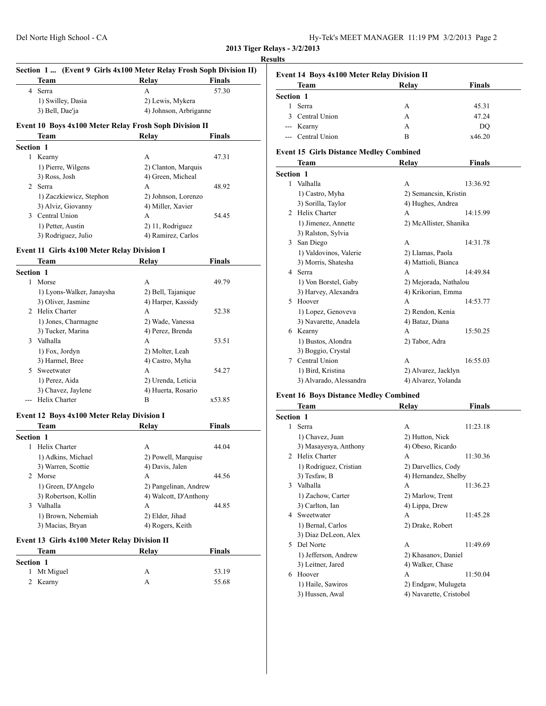| Hy-Tek's MEET MANAGER 11:19 PM 3/2/2013 Page 2 |  |  |  |
|------------------------------------------------|--|--|--|
|------------------------------------------------|--|--|--|

#### **Results**

| Section 1 (Event 9 Girls 4x100 Meter Relay Frosh Soph Division II) |                                                                                                                                           |                                                                        |  |  |
|--------------------------------------------------------------------|-------------------------------------------------------------------------------------------------------------------------------------------|------------------------------------------------------------------------|--|--|
|                                                                    | Relay                                                                                                                                     | <b>Finals</b>                                                          |  |  |
|                                                                    | A                                                                                                                                         | 57.30                                                                  |  |  |
|                                                                    | 2) Lewis, Mykera                                                                                                                          |                                                                        |  |  |
|                                                                    | 4) Johnson, Arbriganne                                                                                                                    |                                                                        |  |  |
|                                                                    |                                                                                                                                           |                                                                        |  |  |
|                                                                    |                                                                                                                                           | <b>Finals</b>                                                          |  |  |
|                                                                    |                                                                                                                                           |                                                                        |  |  |
|                                                                    | А                                                                                                                                         | 47.31                                                                  |  |  |
|                                                                    | 2) Clanton, Marquis                                                                                                                       |                                                                        |  |  |
|                                                                    | 4) Green, Micheal                                                                                                                         |                                                                        |  |  |
|                                                                    |                                                                                                                                           | 48.92                                                                  |  |  |
|                                                                    | Team<br><b>Serra</b><br>1) Swilley, Dasia<br>3) Bell, Dae'ja<br>Team<br><b>Section 1</b><br>Kearny<br>1) Pierre, Wilgens<br>3) Ross, Josh | <b>Event 10 Boys 4x100 Meter Relay Frosh Soph Division II</b><br>Relav |  |  |

1) Zaczkiewicz, Stephon 2) Johnson, Lorenzo 3) Alviz, Giovanny 4) Miller, Xavier 3 Central Union A 54.45 1) Petter, Austin 2) 11, Rodriguez 3) Rodriguez, Julio 4) Ramirez, Carlos

# **Event 11 Girls 4x100 Meter Relay Division I**

|                | Team                      | Relay              | Finals |  |
|----------------|---------------------------|--------------------|--------|--|
| Section 1      |                           |                    |        |  |
| 1              | Morse                     | A                  | 49.79  |  |
|                | 1) Lyons-Walker, Janaysha | 2) Bell, Tajanique |        |  |
|                | 3) Oliver, Jasmine        | 4) Harper, Kassidy |        |  |
| $\mathfrak{D}$ | Helix Charter             | A                  | 52.38  |  |
|                | 1) Jones, Charmagne       | 2) Wade, Vanessa   |        |  |
|                | 3) Tucker, Marina         | 4) Perez, Brenda   |        |  |
| $\mathbf{3}$   | Valhalla                  | A                  | 53.51  |  |
|                | 1) Fox, Jordyn            | 2) Molter, Leah    |        |  |
|                | 3) Harmel, Bree           | 4) Castro, Myha    |        |  |
| 5              | Sweetwater                | А                  | 54.27  |  |
|                | 1) Perez, Aida            | 2) Urenda, Leticia |        |  |
|                | 3) Chavez, Jaylene        | 4) Huerta, Rosario |        |  |
|                | Helix Charter             | В                  | x53.85 |  |
|                |                           |                    |        |  |

#### **Event 12 Boys 4x100 Meter Relay Division I**

|                                             | Team                 | Relav                 | <b>Finals</b> |  |
|---------------------------------------------|----------------------|-----------------------|---------------|--|
| <b>Section 1</b>                            |                      |                       |               |  |
|                                             | Helix Charter        | A                     | 44.04         |  |
|                                             | 1) Adkins, Michael   | 2) Powell, Marquise   |               |  |
|                                             | 3) Warren, Scottie   | 4) Davis, Jalen       |               |  |
| $\mathcal{L}$                               | Morse                | A                     | 44.56         |  |
| 1) Green, D'Angelo<br>2) Pangelinan, Andrew |                      |                       |               |  |
|                                             | 3) Robertson, Kollin | 4) Walcott, D'Anthony |               |  |
| 3                                           | Valhalla             | A                     | 44.85         |  |
|                                             | 1) Brown, Nehemiah   | 2) Elder, Jihad       |               |  |
|                                             | 3) Macias, Bryan     | 4) Rogers, Keith      |               |  |
|                                             |                      |                       |               |  |

#### **Event 13 Girls 4x100 Meter Relay Division II**

| Team        | Relay | <b>Finals</b> |  |
|-------------|-------|---------------|--|
| Section 1   |       |               |  |
| 1 Mt Miguel | А     | 53.19         |  |
| 2 Kearny    | А     | 55.68         |  |

|                  | Team                                           | Relay                  | <b>Finals</b> |
|------------------|------------------------------------------------|------------------------|---------------|
| Section 1        |                                                |                        |               |
| 1                | Serra                                          | А                      | 45.31         |
| 3                | Central Union                                  | A                      | 47.24         |
|                  | --- Kearny                                     | A                      | DO            |
|                  | --- Central Union                              | B                      | x46.20        |
|                  | <b>Event 15 Girls Distance Medley Combined</b> |                        |               |
|                  | Team                                           | Relay                  | <b>Finals</b> |
| <b>Section 1</b> |                                                |                        |               |
|                  | 1 Valhalla                                     | A                      | 13:36.92      |
|                  | 1) Castro, Myha                                | 2) Semancsin, Kristin  |               |
|                  | 3) Sorilla, Taylor                             | 4) Hughes, Andrea      |               |
|                  | 2 Helix Charter                                | A                      | 14:15.99      |
|                  | 1) Jimenez, Annette                            | 2) McAllister, Shanika |               |
|                  | 3) Ralston, Sylvia                             |                        |               |
|                  | 3 San Diego                                    | A                      | 14:31.78      |
|                  | 1) Valdovinos, Valerie                         | 2) Llamas, Paola       |               |
|                  | 3) Morris, Shatesha                            | 4) Mattioli, Bianca    |               |
|                  | 4 Serra                                        | A                      | 14:49.84      |
|                  | 1) Von Borstel, Gaby                           | 2) Mejorada, Nathalou  |               |
|                  | 3) Harvey, Alexandra                           | 4) Krikorian, Emma     |               |
| 5                | Hoover                                         | A                      | 14:53.77      |
|                  | 1) Lopez, Genoveva                             | 2) Rendon, Kenia       |               |
|                  | 3) Navarette, Anadela                          | 4) Bataz, Diana        |               |
|                  | 6 Kearny                                       | A                      | 15:50.25      |
|                  | 1) Bustos, Alondra                             | 2) Tabor, Adra         |               |
|                  | 3) Boggio, Crystal                             |                        |               |
| 7                | Central Union                                  | A                      | 16:55.03      |
|                  | 1) Bird, Kristina                              | 2) Alvarez, Jacklyn    |               |
|                  | 3) Alvarado, Alessandra                        | 4) Alvarez, Yolanda    |               |

#### **Event 16 Boys Distance Medley Combined**

|                  | Team                   | Relay                   | <b>Finals</b> |
|------------------|------------------------|-------------------------|---------------|
| <b>Section 1</b> |                        |                         |               |
| 1                | Serra                  | A                       | 11:23.18      |
|                  | 1) Chavez, Juan        | 2) Hutton, Nick         |               |
|                  | 3) Masayesya, Anthony  | 4) Obeso, Ricardo       |               |
| $\mathcal{L}$    | Helix Charter          | A                       | 11:30.36      |
|                  | 1) Rodriguez, Cristian | 2) Darvellics, Cody     |               |
|                  | 3) Tesfaw, B           | 4) Hernandez, Shelby    |               |
| $\mathcal{F}$    | Valhalla               | A                       | 11:36.23      |
|                  | 1) Zachow, Carter      | 2) Marlow, Trent        |               |
|                  | 3) Carlton, Ian        | 4) Lippa, Drew          |               |
|                  | 4 Sweetwater           | A                       | 11:45.28      |
|                  | 1) Bernal, Carlos      | 2) Drake, Robert        |               |
|                  | 3) Diaz DeLeon, Alex   |                         |               |
| 5                | Del Norte              | A                       | 11:49.69      |
|                  | 1) Jefferson, Andrew   | 2) Khasanov, Daniel     |               |
|                  | 3) Leitner, Jared      | 4) Walker, Chase        |               |
| 6                | Hoover                 | A                       | 11:50.04      |
|                  | 1) Haile, Sawiros      | 2) Endgaw, Mulugeta     |               |
|                  | 3) Hussen, Awal        | 4) Navarette, Cristobol |               |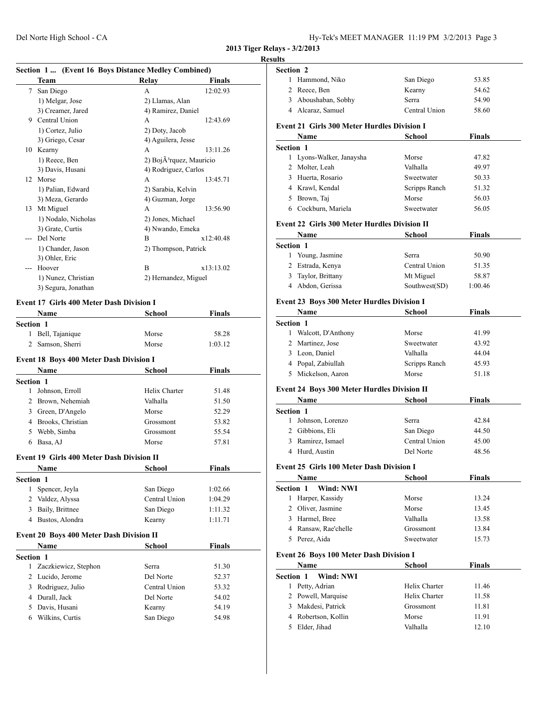#### **Resu**

# **Section 1 ... (Event 16 Boys Distance Medley Combined)**

|    | Team                | Relav                                | Finals    |
|----|---------------------|--------------------------------------|-----------|
| 7  | San Diego           | A                                    | 12:02.93  |
|    | 1) Melgar, Jose     | 2) Llamas, Alan                      |           |
|    | 3) Creamer, Jared   | 4) Ramirez, Daniel                   |           |
| 9  | Central Union       | A                                    | 12:43.69  |
|    | 1) Cortez, Julio    | 2) Doty, Jacob                       |           |
|    | 3) Griego, Cesar    | 4) Aguilera, Jesse                   |           |
| 10 | Kearny              | А                                    | 13:11.26  |
|    | 1) Reece, Ben       | 2) BojÃ <sup>3</sup> rquez, Mauricio |           |
|    | 3) Davis, Husani    | 4) Rodriguez, Carlos                 |           |
| 12 | Morse               | A                                    | 13:45.71  |
|    | 1) Palian, Edward   | 2) Sarabia, Kelvin                   |           |
|    | 3) Meza, Gerardo    | 4) Guzman, Jorge                     |           |
| 13 | Mt Miguel           | A                                    | 13:56.90  |
|    | 1) Nodalo, Nicholas | 2) Jones, Michael                    |           |
|    | 3) Grate, Curtis    | 4) Nwando, Emeka                     |           |
|    | Del Norte           | B                                    | x12:40.48 |
|    | 1) Chander, Jason   | 2) Thompson, Patrick                 |           |
|    | 3) Ohler, Eric      |                                      |           |
|    | Hoover              | B                                    | x13:13.02 |
|    | 1) Nunez, Christian | 2) Hernandez, Miguel                 |           |
|    | 3) Segura, Jonathan |                                      |           |

# **Event 17 Girls 400 Meter Dash Division I**

| <b>Name</b>                     | <b>School</b> | <b>Finals</b>                                                                                                                                  |  |
|---------------------------------|---------------|------------------------------------------------------------------------------------------------------------------------------------------------|--|
| <b>Section 1</b>                |               |                                                                                                                                                |  |
| Bell, Tajanique                 | Morse         | 58.28                                                                                                                                          |  |
| Samson, Sherri                  | Morse         | 1:03.12                                                                                                                                        |  |
|                                 |               |                                                                                                                                                |  |
| <b>Name</b>                     | <b>School</b> | <b>Finals</b>                                                                                                                                  |  |
| Section 1                       |               |                                                                                                                                                |  |
| Johnson, Erroll<br>$\mathbf{1}$ | Helix Charter | 51.48                                                                                                                                          |  |
| Brown, Nehemiah                 | Valhalla      | 51.50                                                                                                                                          |  |
| 3 Green, D'Angelo               | Morse         | 52.29                                                                                                                                          |  |
| 4 Brooks, Christian             | Grossmont     | 53.82                                                                                                                                          |  |
| Webb, Simba                     | Grossmont     | 55.54                                                                                                                                          |  |
| Basa, AJ                        | Morse         | 57.81                                                                                                                                          |  |
|                                 |               |                                                                                                                                                |  |
| <b>Name</b>                     | <b>School</b> | <b>Finals</b>                                                                                                                                  |  |
| <b>Section 1</b>                |               |                                                                                                                                                |  |
| Spencer, Jeyla                  | San Diego     | 1:02.66                                                                                                                                        |  |
| 2 Valdez, Alyssa                | Central Union | 1:04.29                                                                                                                                        |  |
| Baily, Brittnee                 | San Diego     | 1:11.32                                                                                                                                        |  |
| Bustos, Alondra                 | Kearny        | 1:11.71                                                                                                                                        |  |
|                                 |               |                                                                                                                                                |  |
| <b>Name</b>                     | <b>School</b> | <b>Finals</b>                                                                                                                                  |  |
| <b>Section 1</b>                |               |                                                                                                                                                |  |
| Zaczkiewicz, Stephon            | Serra         | 51.30                                                                                                                                          |  |
| Lucido, Jerome                  | Del Norte     | 52.37                                                                                                                                          |  |
| Rodriguez, Julio                | Central Union | 53.32                                                                                                                                          |  |
| 4 Durall, Jack                  | Del Norte     | 54.02                                                                                                                                          |  |
| Davis, Husani                   | Kearny        | 54.19                                                                                                                                          |  |
| Wilkins, Curtis                 | San Diego     | 54.98                                                                                                                                          |  |
|                                 |               | <b>Event 18 Boys 400 Meter Dash Division I</b><br><b>Event 19 Girls 400 Meter Dash Division II</b><br>Event 20 Boys 400 Meter Dash Division II |  |

| ılts                      |                                                     |               |               |  |
|---------------------------|-----------------------------------------------------|---------------|---------------|--|
| <b>Section 2</b>          |                                                     |               |               |  |
| 1                         | Hammond, Niko                                       | San Diego     | 53.85         |  |
|                           | 2 Reece, Ben                                        | Kearny        | 54.62         |  |
|                           | 3 Aboushaban, Sobhy                                 | Serra         | 54.90         |  |
|                           | 4 Alcaraz, Samuel                                   | Central Union | 58.60         |  |
|                           | <b>Event 21 Girls 300 Meter Hurdles Division I</b>  |               |               |  |
|                           | Name                                                | School        | Finals        |  |
| <b>Section 1</b>          |                                                     |               |               |  |
|                           | 1 Lyons-Walker, Janaysha                            | Morse         | 47.82         |  |
|                           | 2 Molter, Leah                                      | Valhalla      | 49.97         |  |
|                           | 3 Huerta, Rosario                                   | Sweetwater    | 50.33         |  |
|                           | 4 Krawl, Kendal                                     | Scripps Ranch | 51.32         |  |
|                           | 5 Brown, Taj                                        | Morse         | 56.03         |  |
|                           | 6 Cockburn, Mariela                                 | Sweetwater    | 56.05         |  |
|                           | <b>Event 22 Girls 300 Meter Hurdles Division II</b> |               |               |  |
|                           | Name                                                | School        | <b>Finals</b> |  |
| <b>Section 1</b>          |                                                     |               |               |  |
|                           | 1 Young, Jasmine                                    | Serra         | 50.90         |  |
|                           | 2 Estrada, Kenya                                    | Central Union | 51.35         |  |
|                           | 3 Taylor, Brittany                                  | Mt Miguel     | 58.87         |  |
|                           | 4 Abdon, Gerissa                                    | Southwest(SD) | 1:00.46       |  |
|                           | Event 23 Boys 300 Meter Hurdles Division I          |               |               |  |
|                           | Name                                                | <b>School</b> | <b>Finals</b> |  |
| Section 1                 |                                                     |               |               |  |
|                           | 1 Walcott, D'Anthony                                | Morse         | 41.99         |  |
|                           | 2 Martinez, Jose                                    | Sweetwater    | 43.92         |  |
|                           | 3 Leon, Daniel                                      | Valhalla      | 44.04         |  |
|                           | 4 Popal, Zabiullah                                  | Scripps Ranch | 45.93         |  |
|                           | 5 Mickelson, Aaron                                  | Morse         | 51.18         |  |
|                           | <b>Event 24 Boys 300 Meter Hurdles Division II</b>  |               |               |  |
|                           | Name                                                | School        | Finals        |  |
| Section 1                 |                                                     |               |               |  |
| 1                         | Johnson, Lorenzo                                    | Serra         | 42.84         |  |
|                           | 2 Gibbions, Eli                                     | San Diego     | 44.50         |  |
|                           | 3 Ramirez, Ismael                                   | Central Union | 45.00         |  |
|                           | 4 Hurd, Austin                                      | Del Norte     | 48.56         |  |
|                           |                                                     |               |               |  |
|                           | <b>Event 25 Girls 100 Meter Dash Division I</b>     |               |               |  |
|                           | Name                                                | School        | Finals        |  |
| Section 1<br>$\mathbf{1}$ | Wind: NWI<br>Harper, Kassidy                        | Morse         | 13.24         |  |
|                           | 2 Oliver, Jasmine                                   | Morse         | 13.45         |  |
|                           | 3 Harmel, Bree                                      | Valhalla      | 13.58         |  |
|                           | 4 Ransaw, Rae'chelle                                | Grossmont     | 13.84         |  |
|                           | 5 Perez, Aida                                       | Sweetwater    | 15.73         |  |
|                           |                                                     |               |               |  |
|                           | <b>Event 26 Boys 100 Meter Dash Division I</b>      |               |               |  |
|                           | Name                                                | School        | <b>Finals</b> |  |
| Section 1                 | Wind: NWI                                           |               |               |  |
|                           | 1 Petty, Adrian                                     | Helix Charter | 11.46         |  |
|                           | 2 Powell, Marquise                                  | Helix Charter | 11.58         |  |
|                           | 3 Makdesi, Patrick                                  | Grossmont     | 11.81         |  |

4 Robertson, Kollin Morse 11.91 5 Elder, Jihad Valhalla 12.10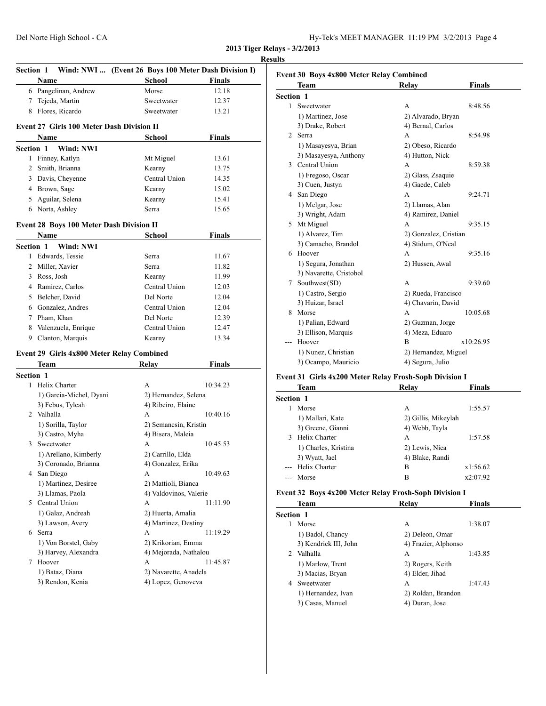|   | <b>Section 1</b><br>Name                                 | Wind: NWI  (Event 26 Boys 100 Meter Dash Division I)<br><b>School</b> | <b>Finals</b> |
|---|----------------------------------------------------------|-----------------------------------------------------------------------|---------------|
|   | 6 Pangelinan, Andrew                                     | Morse                                                                 | 12.18         |
|   | 7 Tejeda, Martin                                         | Sweetwater                                                            | 12.37         |
|   | 8 Flores, Ricardo                                        | Sweetwater                                                            | 13.21         |
|   |                                                          |                                                                       |               |
|   | <b>Event 27 Girls 100 Meter Dash Division II</b><br>Name | School                                                                | <b>Finals</b> |
|   | Wind: NWI<br><b>Section 1</b>                            |                                                                       |               |
|   | 1 Finney, Katlyn                                         | Mt Miguel                                                             | 13.61         |
|   | 2 Smith, Brianna                                         | Kearny                                                                | 13.75         |
|   | 3 Davis, Cheyenne                                        | Central Union                                                         | 14.35         |
|   | 4 Brown, Sage                                            | Kearny                                                                | 15.02         |
|   | 5 Aguilar, Selena                                        | Kearny                                                                | 15.41         |
|   | 6 Norta, Ashley                                          | Serra                                                                 | 15.65         |
|   |                                                          |                                                                       |               |
|   | <b>Event 28 Boys 100 Meter Dash Division II</b>          |                                                                       |               |
|   | Name                                                     | School                                                                | <b>Finals</b> |
|   | <b>Section 1</b><br>Wind: NWI                            |                                                                       |               |
|   | 1 Edwards, Tessie                                        | Serra                                                                 | 11.67         |
|   | 2 Miller, Xavier                                         | <b>Serra</b>                                                          | 11.82         |
|   | 3 Ross, Josh                                             | Kearny                                                                | 11.99         |
|   | 4 Ramirez, Carlos                                        | Central Union                                                         | 12.03         |
|   | 5 Belcher, David                                         | Del Norte                                                             | 12.04         |
|   | 6 Gonzalez, Andres                                       | Central Union                                                         | 12.04         |
|   | 7 Pham, Khan                                             | Del Norte                                                             | 12.39         |
|   | 8 Valenzuela, Enrique                                    | Central Union                                                         | 12.47         |
|   | 9 Clanton, Marquis                                       | Kearny                                                                | 13.34         |
|   | <b>Event 29 Girls 4x800 Meter Relay Combined</b>         |                                                                       |               |
|   | Team                                                     | <b>Relay</b>                                                          | <b>Finals</b> |
|   | Section 1                                                |                                                                       |               |
|   | 1 Helix Charter                                          | A                                                                     | 10:34.23      |
|   | 1) Garcia-Michel, Dyani                                  | 2) Hernandez, Selena                                                  |               |
|   | 3) Febus, Tyleah                                         | 4) Ribeiro, Elaine                                                    |               |
|   | 2 Valhalla                                               | A                                                                     | 10:40.16      |
|   | 1) Sorilla, Taylor                                       | 2) Semancsin, Kristin                                                 |               |
|   | 3) Castro, Myha                                          | 4) Bisera, Maleia                                                     |               |
|   | 3 Sweetwater                                             | А                                                                     | 10:45.53      |
|   | 1) Arellano, Kimberly                                    | 2) Carrillo, Elda                                                     |               |
|   |                                                          | 4) Gonzalez, Erika                                                    |               |
|   | 3) Coronado, Brianna                                     |                                                                       | 10:49.63      |
|   | 4 San Diego                                              | A                                                                     |               |
|   | 1) Martinez, Desiree                                     | 2) Mattioli, Bianca                                                   |               |
|   | 3) Llamas, Paola                                         | 4) Valdovinos, Valerie                                                |               |
|   | 5 Central Union                                          | A                                                                     | 11:11.90      |
|   |                                                          | 2) Huerta, Amalia                                                     |               |
|   | 1) Galaz, Andreah<br>3) Lawson, Avery                    | 4) Martinez, Destiny                                                  |               |
|   | 6 Serra                                                  | А                                                                     | 11:19.29      |
|   | 1) Von Borstel, Gaby                                     |                                                                       |               |
|   | 3) Harvey, Alexandra                                     | 2) Krikorian, Emma<br>4) Mejorada, Nathalou                           |               |
| 7 | Hoover                                                   | A                                                                     | 11:45.87      |
|   | 1) Bataz, Diana                                          | 2) Navarette, Anadela                                                 |               |

|                  | Team                    | Relay                 | <b>Finals</b>       |  |
|------------------|-------------------------|-----------------------|---------------------|--|
| <b>Section 1</b> |                         |                       |                     |  |
| 1                | Sweetwater              | A                     | 8:48.56             |  |
|                  | 1) Martinez, Jose       | 2) Alvarado, Bryan    |                     |  |
|                  | 3) Drake, Robert        | 4) Bernal, Carlos     |                     |  |
| $\mathfrak{D}$   | <b>Serra</b>            | A                     | 8:54.98             |  |
|                  | 1) Masayesya, Brian     | 2) Obeso, Ricardo     |                     |  |
|                  | 3) Masayesya, Anthony   | 4) Hutton, Nick       |                     |  |
|                  | 3 Central Union         | A                     | 8:59.38             |  |
|                  | 1) Fregoso, Oscar       | 2) Glass, Zsaquie     |                     |  |
|                  | 3) Cuen, Justyn         | 4) Gaede, Caleb       |                     |  |
|                  | 4 San Diego             | A                     | 9:24.71             |  |
|                  | 1) Melgar, Jose         | 2) Llamas, Alan       |                     |  |
|                  | 3) Wright, Adam         | 4) Ramirez, Daniel    |                     |  |
|                  | 5 Mt Miguel             | A                     | 9:35.15             |  |
|                  | 1) Alvarez, Tim         | 2) Gonzalez, Cristian |                     |  |
|                  | 3) Camacho, Brandol     | 4) Stidum, O'Neal     |                     |  |
|                  | 6 Hoover                | A                     | 9:35.16             |  |
|                  | 1) Segura, Jonathan     | 2) Hussen, Awal       |                     |  |
|                  | 3) Navarette, Cristobol |                       |                     |  |
| 7                | Southwest(SD)           | A                     | 9:39.60             |  |
|                  | 1) Castro, Sergio       |                       | 2) Rueda, Francisco |  |
|                  | 3) Huizar, Israel       | 4) Chavarin, David    |                     |  |
| 8                | Morse                   | A                     | 10:05.68            |  |
|                  | 1) Palian, Edward       | 2) Guzman, Jorge      |                     |  |
|                  | 3) Ellison, Marquis     | 4) Meza, Eduaro       |                     |  |
|                  | Hoover                  | B                     | x10:26.95           |  |
|                  | 1) Nunez, Christian     | 2) Hernandez, Miguel  |                     |  |
|                  | 3) Ocampo, Mauricio     | 4) Segura, Julio      |                     |  |

# **Event 31 Girls 4x200 Meter Relay Frosh-Soph Division I**

|                  | Team                 | Relay               | <b>Finals</b> |
|------------------|----------------------|---------------------|---------------|
| <b>Section 1</b> |                      |                     |               |
|                  | Morse                | A                   | 1:55.57       |
|                  | 1) Mallari, Kate     | 2) Gillis, Mikeylah |               |
|                  | 3) Greene, Gianni    | 4) Webb, Tayla      |               |
| 3                | Helix Charter        | A                   | 1:57.58       |
|                  | 1) Charles, Kristina | 2) Lewis, Nica      |               |
|                  | 3) Wyatt, Jael       | 4) Blake, Randi     |               |
|                  | Helix Charter        | B                   | x1:56.62      |
|                  | Morse                | B                   | x2:07.92      |
|                  |                      |                     |               |

#### **Event 32 Boys 4x200 Meter Relay Frosh-Soph Division I**

|                  | Team                  | Relay                | <b>Finals</b> |
|------------------|-----------------------|----------------------|---------------|
| <b>Section 1</b> |                       |                      |               |
|                  | Morse                 | А                    | 1:38.07       |
|                  | 1) Badol, Chancy      | 2) Deleon, Omar      |               |
|                  | 3) Kendrick III, John | 4) Frazier, Alphonso |               |
| $2^{\circ}$      | Valhalla              | А                    | 1:43.85       |
|                  | 1) Marlow, Trent      | 2) Rogers, Keith     |               |
|                  | 3) Macias, Bryan      | 4) Elder, Jihad      |               |
| 4                | Sweetwater            | A                    | 1:47.43       |
|                  | 1) Hernandez, Ivan    | 2) Roldan, Brandon   |               |
|                  | 3) Casas, Manuel      | 4) Duran, Jose       |               |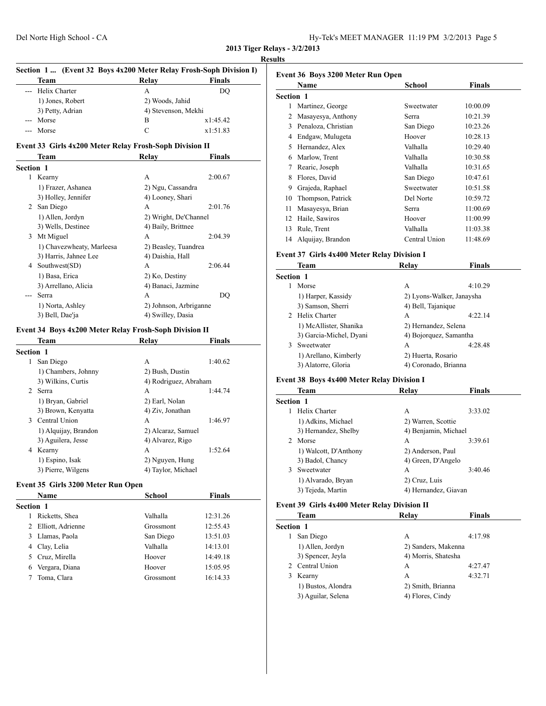| Hy-Tek's MEET MANAGER 11:19 PM 3/2/2013 Page 5 |  |  |  |
|------------------------------------------------|--|--|--|
|------------------------------------------------|--|--|--|

#### **Results**

| Section 1  (Event 32 Boys 4x200 Meter Relay Frosh-Soph Division I) |                                                         |                             |          |
|--------------------------------------------------------------------|---------------------------------------------------------|-----------------------------|----------|
|                                                                    | Team                                                    | Relay                       | Finals   |
|                                                                    | Helix Charter                                           | A                           | DO       |
|                                                                    | 1) Jones, Robert                                        | 2) Woods, Jahid             |          |
|                                                                    | 3) Petty, Adrian                                        | 4) Stevenson, Mekhi         |          |
|                                                                    | Morse                                                   | B                           | x1:45.42 |
|                                                                    | Morse                                                   | C                           | x1:51.83 |
|                                                                    | Event 33 Girls 4x200 Meter Relay Frosh-Soph Division II |                             |          |
|                                                                    | Team                                                    | Relay                       | Finals   |
| <b>Section 1</b>                                                   |                                                         |                             |          |
|                                                                    | 1 Kearny                                                | A                           | 2:00.67  |
|                                                                    | 1) Frazer, Ashanea                                      | 2) Ngu, Cassandra           |          |
|                                                                    | 3) Holley, Jennifer                                     | 4) Looney, Shari            |          |
| 2                                                                  | San Diego                                               | A                           | 2:01.76  |
|                                                                    | 1) Allen, Jordyn                                        | 2) Wright, De'Channel       |          |
|                                                                    | 3) Wells, Destinee                                      | 4) Baily, Brittnee          |          |
| 3                                                                  | Mt Miguel                                               | A                           | 2:04.39  |
|                                                                    | 1) Chavezwheaty, Marleesa                               | 2) Beasley, Tuandrea        |          |
|                                                                    | 3) Harris, Jahnee Lee                                   | 4) Daishia, Hall            |          |
| 4                                                                  | Southwest(SD)                                           | A                           | 2:06.44  |
|                                                                    | 1) Basa Frica                                           | $2)$ K <sub>0</sub> Destiny |          |

#### 1) Basa, Erica 2) Ko, Destiny 3) Arrellano, Alicia 4) Banaci, Jazmine --- Serra A DQ 1) Norta, Ashley 2) Johnson, Arbriganne 3) Bell, Dae'ja  $4$ ) Swilley, Dasia

#### **Event 34 Boys 4x200 Meter Relay Frosh-Soph Division II**

| Team                 | Relay                     | <b>Finals</b> |  |  |
|----------------------|---------------------------|---------------|--|--|
| <b>Section 1</b>     |                           |               |  |  |
| San Diego            | A                         | 1:40.62       |  |  |
| 1) Chambers, Johnny  | 2) Bush, Dustin           |               |  |  |
| 3) Wilkins, Curtis   | 4) Rodriguez, Abraham     |               |  |  |
| Serra                | A                         | 1:44.74       |  |  |
| 1) Bryan, Gabriel    | 2) Earl, Nolan            |               |  |  |
| 3) Brown, Kenyatta   | 4) Ziv, Jonathan          |               |  |  |
|                      | A                         | 1:46.97       |  |  |
| 1) Alquijay, Brandon | 2) Alcaraz, Samuel        |               |  |  |
| 3) Aguilera, Jesse   | 4) Alvarez, Rigo          |               |  |  |
|                      | A                         | 1:52.64       |  |  |
| 1) Espino, Isak      | 2) Nguyen, Hung           |               |  |  |
| 3) Pierre, Wilgens   | 4) Taylor, Michael        |               |  |  |
| $\mathcal{L}$<br>4   | 3 Central Union<br>Kearny |               |  |  |

#### **Event 35 Girls 3200 Meter Run Open**

|                  | <b>Name</b>       | School    | <b>Finals</b> |  |
|------------------|-------------------|-----------|---------------|--|
| <b>Section 1</b> |                   |           |               |  |
|                  | Ricketts, Shea    | Valhalla  | 12:31.26      |  |
| 2                | Elliott, Adrienne | Grossmont | 12:55.43      |  |
| 3.               | Llamas, Paola     | San Diego | 13:51.03      |  |
|                  | 4 Clay, Lelia     | Valhalla  | 14:13.01      |  |
| 5                | Cruz, Mirella     | Hoover    | 14:49.18      |  |
| 6                | Vergara, Diana    | Hoover    | 15:05.95      |  |
|                  | Toma, Clara       | Grossmont | 16:14.33      |  |

| Event 36 Boys 3200 Meter Run Open |                     |               |          |  |
|-----------------------------------|---------------------|---------------|----------|--|
|                                   | Name                | School        | Finals   |  |
| <b>Section 1</b>                  |                     |               |          |  |
| 1                                 | Martinez, George    | Sweetwater    | 10:00.09 |  |
| 2                                 | Masayesya, Anthony  | Serra         | 10:21.39 |  |
| 3                                 | Penaloza, Christian | San Diego     | 10:23.26 |  |
| 4                                 | Endgaw, Mulugeta    | Hoover        | 10:28.13 |  |
| 5                                 | Hernandez, Alex     | Valhalla      | 10:29.40 |  |
| 6                                 | Marlow, Trent       | Valhalla      | 10:30.58 |  |
| 7                                 | Rearic, Joseph      | Valhalla      | 10:31.65 |  |
| 8                                 | Flores, David       | San Diego     | 10:47.61 |  |
| 9                                 | Grajeda, Raphael    | Sweetwater    | 10:51.58 |  |
| 10                                | Thompson, Patrick   | Del Norte     | 10:59.72 |  |
| 11                                | Masayesya, Brian    | Serra         | 11:00.69 |  |
| 12                                | Haile, Sawiros      | Hoover        | 11:00.99 |  |
| 13                                | Rule, Trent         | Valhalla      | 11:03.38 |  |
| 14                                | Alquijay, Brandon   | Central Union | 11:48.69 |  |

#### **Event 37 Girls 4x400 Meter Relay Division I**

|                  | Team                    | Relay                  | Finals                    |
|------------------|-------------------------|------------------------|---------------------------|
| <b>Section 1</b> |                         |                        |                           |
|                  | Morse                   | A                      | 4:10.29                   |
|                  | 1) Harper, Kassidy      |                        | 2) Lyons-Walker, Janaysha |
|                  | 3) Samson, Sherri       | 4) Bell, Tajanique     |                           |
|                  | 2 Helix Charter         | A                      | 4:22.14                   |
|                  | 1) McAllister, Shanika  | 2) Hernandez, Selena   |                           |
|                  | 3) Garcia-Michel, Dyani | 4) Bojorquez, Samantha |                           |
|                  | Sweetwater              | A                      | 4:28.48                   |
|                  | 1) Arellano, Kimberly   | 2) Huerta, Rosario     |                           |
|                  | 3) Alatorre, Gloria     | 4) Coronado, Brianna   |                           |

#### **Event 38 Boys 4x400 Meter Relay Division I**

|                  | <b>Team</b>           | Relay                | Finals  |
|------------------|-----------------------|----------------------|---------|
| <b>Section 1</b> |                       |                      |         |
|                  | Helix Charter         | А                    | 3:33.02 |
|                  | 1) Adkins, Michael    | 2) Warren, Scottie   |         |
|                  | 3) Hernandez, Shelby  | 4) Benjamin, Michael |         |
|                  | Morse                 | А                    | 3:39.61 |
|                  | 1) Walcott, D'Anthony | 2) Anderson, Paul    |         |
|                  | 3) Badol, Chancy      | 4) Green, D'Angelo   |         |
|                  | Sweetwater            | A                    | 3:40.46 |
|                  | 1) Alvarado, Bryan    | 2) Cruz, Luis        |         |
|                  | 3) Tejeda, Martin     | 4) Hernandez, Giavan |         |

#### **Event 39 Girls 4x400 Meter Relay Division II**

|           | Team               | Relav               | <b>Finals</b> |
|-----------|--------------------|---------------------|---------------|
| Section 1 |                    |                     |               |
|           | San Diego          | A                   | 4:17.98       |
|           | 1) Allen, Jordyn   | 2) Sanders, Makenna |               |
|           | 3) Spencer, Jeyla  | 4) Morris, Shatesha |               |
|           | 2 Central Union    | А                   | 4:27.47       |
| 3         | Kearny             | A                   | 4:32.71       |
|           | 1) Bustos, Alondra | 2) Smith, Brianna   |               |
|           | 3) Aguilar, Selena | 4) Flores, Cindy    |               |
|           |                    |                     |               |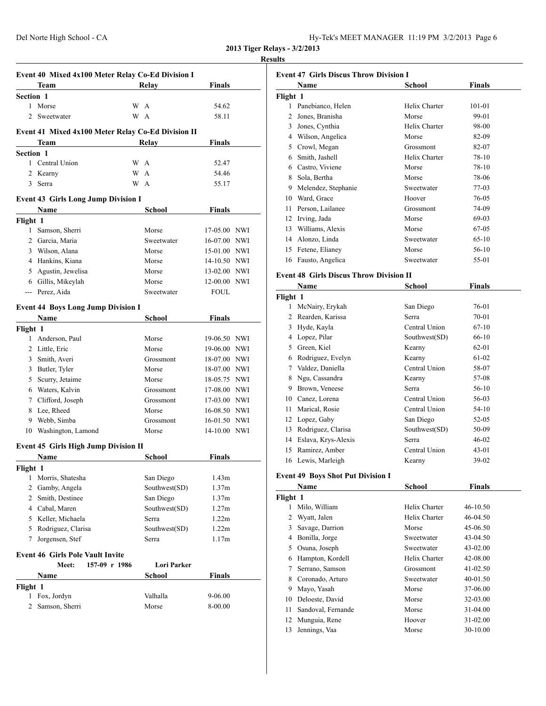| Hy-Tek's MEET MANAGER 11:19 PM 3/2/2013 Page 6 |  |  |  |
|------------------------------------------------|--|--|--|
|------------------------------------------------|--|--|--|

# **Results**

|                                                    | Team                                        | Relay             | <b>Finals</b>      |  |  |  |
|----------------------------------------------------|---------------------------------------------|-------------------|--------------------|--|--|--|
|                                                    | Section 1                                   |                   |                    |  |  |  |
| $\mathbf{1}$                                       | Morse                                       | W A               | 54.62              |  |  |  |
| 2                                                  | Sweetwater                                  | W A               | 58.11              |  |  |  |
| Event 41 Mixed 4x100 Meter Relay Co-Ed Division II |                                             |                   |                    |  |  |  |
|                                                    | Team                                        | <b>Relay</b>      | <b>Finals</b>      |  |  |  |
| <b>Section 1</b>                                   |                                             |                   |                    |  |  |  |
|                                                    | 1 Central Union                             | W A               | 52.47              |  |  |  |
| $\overline{c}$                                     | Kearny                                      | W<br>$\mathsf{A}$ | 54.46              |  |  |  |
| 3                                                  | Serra                                       | W<br>$\mathbf{A}$ | 55.17              |  |  |  |
|                                                    | <b>Event 43 Girls Long Jump Division I</b>  |                   |                    |  |  |  |
|                                                    | Name                                        | School            | <b>Finals</b>      |  |  |  |
| Flight 1                                           |                                             |                   |                    |  |  |  |
|                                                    | 1 Samson, Sherri                            | Morse             | 17-05.00 NWI       |  |  |  |
|                                                    | 2 Garcia, Maria                             | Sweetwater        | 16-07.00 NWI       |  |  |  |
|                                                    | 3 Wilson, Alana                             | Morse             | 15-01.00 NWI       |  |  |  |
|                                                    | 4 Hankins, Kiana                            | Morse             | 14-10.50 NWI       |  |  |  |
|                                                    | 5 Agustin, Jewelisa                         | Morse             | 13-02.00 NWI       |  |  |  |
|                                                    | 6 Gillis, Mikeylah                          | Morse             | 12-00.00 NWI       |  |  |  |
|                                                    | --- Perez, Aida                             | Sweetwater        | <b>FOUL</b>        |  |  |  |
|                                                    |                                             |                   |                    |  |  |  |
|                                                    | <b>Event 44 Boys Long Jump Division I</b>   |                   |                    |  |  |  |
|                                                    | Name                                        | <b>School</b>     | <b>Finals</b>      |  |  |  |
| Flight 1                                           | 1 Anderson, Paul                            | Morse             | 19-06.50 NWI       |  |  |  |
|                                                    | 2 Little, Eric                              | Morse             | 19-06.00 NWI       |  |  |  |
|                                                    | 3 Smith, Averi                              | Grossmont         | 18-07.00 NWI       |  |  |  |
|                                                    | 3 Butler, Tyler                             | Morse             | 18-07.00 NWI       |  |  |  |
|                                                    | 5 Scurry, Jetaime                           | Morse             | 18-05.75 NWI       |  |  |  |
|                                                    | 6 Waters, Kalvin                            | Grossmont         | 17-08.00 NWI       |  |  |  |
| 7                                                  | Clifford, Joseph                            | Grossmont         | 17-03.00 NWI       |  |  |  |
|                                                    | 8 Lee, Rheed                                | Morse             | 16-08.50 NWI       |  |  |  |
|                                                    | 9 Webb, Simba                               | Grossmont         | 16-01.50 NWI       |  |  |  |
|                                                    | 10 Washington, Lamond                       | Morse             | 14-10.00 NWI       |  |  |  |
|                                                    |                                             |                   |                    |  |  |  |
|                                                    | <b>Event 45 Girls High Jump Division II</b> |                   |                    |  |  |  |
|                                                    | Name                                        | School            | <b>Finals</b>      |  |  |  |
| Flight 1<br>1                                      | Morris, Shatesha                            | San Diego         | 1.43m              |  |  |  |
|                                                    | 2 Gamby, Angela                             | Southwest(SD)     | 1.37m              |  |  |  |
|                                                    | 2 Smith, Destinee                           | San Diego         | 1.37m              |  |  |  |
|                                                    | 4 Cabal, Maren                              | Southwest(SD)     | 1.27m              |  |  |  |
|                                                    | 5 Keller, Michaela                          | Serra             | 1.22m              |  |  |  |
|                                                    | 5 Rodriguez, Clarisa                        | Southwest(SD)     | 1.22m              |  |  |  |
| 7                                                  | Jorgensen, Stef                             | Serra             | 1.17m              |  |  |  |
|                                                    |                                             |                   |                    |  |  |  |
|                                                    | <b>Event 46 Girls Pole Vault Invite</b>     |                   |                    |  |  |  |
|                                                    | 157-09 r 1986<br>Meet:                      | Lori Parker       |                    |  |  |  |
|                                                    | Name                                        | School            | <b>Finals</b>      |  |  |  |
| Flight 1                                           |                                             |                   |                    |  |  |  |
| 1                                                  | Fox, Jordyn<br>Samson, Sherri               | Valhalla<br>Morse | 9-06.00<br>8-00.00 |  |  |  |
| 2                                                  |                                             |                   |                    |  |  |  |

|          | Name                | School        | Finals  |
|----------|---------------------|---------------|---------|
| Flight 1 |                     |               |         |
| 1        | Panebianco, Helen   | Helix Charter | 101-01  |
| 2        | Jones, Branisha     | Morse         | 99-01   |
| 3        | Jones, Cynthia      | Helix Charter | 98-00   |
| 4        | Wilson, Angelica    | Morse         | 82-09   |
| 5        | Crowl, Megan        | Grossmont     | 82-07   |
| 6        | Smith, Jashell      | Helix Charter | 78-10   |
| 6        | Castro, Viviene     | Morse         | 78-10   |
| 8        | Sola, Bertha        | Morse         | 78-06   |
| 9        | Melendez, Stephanie | Sweetwater    | 77-03   |
| 10       | Ward, Grace         | Hoover        | 76-05   |
| 11       | Person, Lailanee    | Grossmont     | 74-09   |
| 12       | Irving, Jada        | Morse         | 69-03   |
| 13       | Williams, Alexis    | Morse         | 67-05   |
| 14       | Alonzo, Linda       | Sweetwater    | $65-10$ |
| 15       | Fetene, Elianey     | Morse         | $56-10$ |
| 16       | Fausto, Angelica    | Sweetwater    | 55-01   |

## **Event 48 Girls Discus Throw Division II**

|          | Name                | School        | Finals    |  |
|----------|---------------------|---------------|-----------|--|
| Flight 1 |                     |               |           |  |
| L        | McNairy, Erykah     | San Diego     | 76-01     |  |
| 2        | Rearden, Karissa    | Serra         | $70 - 01$ |  |
| 3        | Hyde, Kayla         | Central Union | $67-10$   |  |
| 4        | Lopez, Pilar        | Southwest(SD) | 66-10     |  |
| 5        | Green, Kiel         | Kearny        | 62-01     |  |
| 6        | Rodriguez, Evelyn   | Kearny        | 61-02     |  |
| 7        | Valdez, Daniella    | Central Union | 58-07     |  |
| 8        | Ngu, Cassandra      | Kearny        | 57-08     |  |
| 9        | Brown, Veneese      | Serra         | 56-10     |  |
| 10       | Canez, Lorena       | Central Union | 56-03     |  |
| 11       | Marical, Rosie      | Central Union | 54-10     |  |
| 12       | Lopez, Gaby         | San Diego     | 52-05     |  |
| 13       | Rodriguez, Clarisa  | Southwest(SD) | 50-09     |  |
| 14       | Eslava, Krys-Alexis | Serra         | $46 - 02$ |  |
| 15       | Ramirez, Amber      | Central Union | $43 - 01$ |  |
|          | 16 Lewis, Marleigh  | Kearny        | 39-02     |  |

# **Event 49 Boys Shot Put Division I**

|          | Name               | <b>School</b> | <b>Finals</b> |
|----------|--------------------|---------------|---------------|
| Flight 1 |                    |               |               |
|          | Milo, William      | Helix Charter | 46-10.50      |
| 2        | Wyatt, Jalen       | Helix Charter | 46-04.50      |
| 3        | Savage, Darrion    | Morse         | 45-06.50      |
| 4        | Bonilla, Jorge     | Sweetwater    | 43-04.50      |
| 5        | Osuna, Joseph      | Sweetwater    | 43-02.00      |
| 6        | Hampton, Kordell   | Helix Charter | 42-08.00      |
| 7        | Serrano, Samson    | Grossmont     | 41-02.50      |
| 8        | Coronado, Arturo   | Sweetwater    | 40-01.50      |
| 9        | Mayo, Yasah        | Morse         | 37-06.00      |
| 10       | Deloeste, David    | Morse         | 32-03.00      |
| 11       | Sandoval, Fernande | Morse         | 31-04.00      |
| 12       | Munguia, Rene      | Hoover        | $31 - 02.00$  |
| 13       | Jennings, Vaa      | Morse         | 30-10.00      |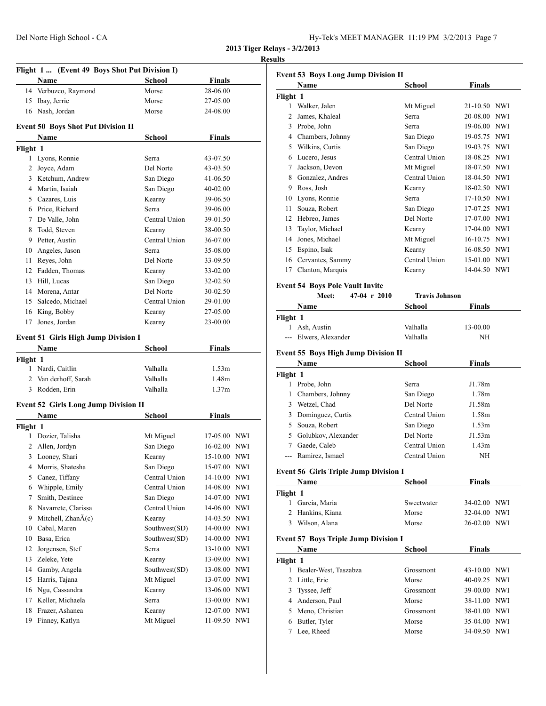# **Results**

|                | Flight 1 (Event 49 Boys Shot Put Division I) |                     |                          |            |
|----------------|----------------------------------------------|---------------------|--------------------------|------------|
|                | Name                                         | School              | <b>Finals</b>            |            |
| 14             | Verbuzco, Raymond                            | Morse               | 28-06.00                 |            |
| 15             | Ibay, Jerrie                                 | Morse               | 27-05.00                 |            |
|                | 16 Nash, Jordan                              | Morse               | 24-08.00                 |            |
|                |                                              |                     |                          |            |
|                | <b>Event 50 Boys Shot Put Division II</b>    |                     |                          |            |
|                | Name                                         | <b>School</b>       | <b>Finals</b>            |            |
| Flight 1       |                                              |                     |                          |            |
| 1              | Lyons, Ronnie                                | Serra<br>Del Norte  | 43-07.50                 |            |
|                | 2 Joyce, Adam<br>3 Ketchum, Andrew           |                     | 43-03.50                 |            |
|                | 4 Martin, Isaiah                             | San Diego           | 41-06.50<br>$40 - 02.00$ |            |
|                |                                              | San Diego           | 39-06.50                 |            |
|                | 5 Cazares, Luis<br>6 Price, Richard          | Kearny<br>Serra     | 39-06.00                 |            |
| 7              | De Valle, John                               | Central Union       |                          |            |
| 8              | Todd, Steven                                 | Kearny              | 39-01.50<br>38-00.50     |            |
|                | 9 Petter, Austin                             | Central Union       | 36-07.00                 |            |
|                | 10 Angeles, Jason                            | Serra               | 35-08.00                 |            |
| 11             | Reyes, John                                  | Del Norte           | 33-09.50                 |            |
| 12             | Fadden, Thomas                               | Kearny              | 33-02.00                 |            |
| 13             | Hill, Lucas                                  | San Diego           | 32-02.50                 |            |
|                | 14 Morena, Antar                             | Del Norte           | 30-02.50                 |            |
| 15             | Salcedo, Michael                             | Central Union       | 29-01.00                 |            |
|                | 16 King, Bobby                               | Kearny              | 27-05.00                 |            |
| 17             | Jones, Jordan                                | Kearny              | 23-00.00                 |            |
|                |                                              |                     |                          |            |
|                | <b>Event 51 Girls High Jump Division I</b>   |                     |                          |            |
|                | Name                                         | School              | Finals                   |            |
| Flight 1       |                                              |                     |                          |            |
|                | 1 Nardi, Caitlin                             | Valhalla            | 1.53m                    |            |
| $\overline{2}$ | Van derhoff, Sarah                           | Valhalla            | 1.48m                    |            |
| 3              | Rodden, Erin                                 | Valhalla            | 1.37m                    |            |
|                | <b>Event 52 Girls Long Jump Division II</b>  |                     |                          |            |
|                | Name                                         | <b>School</b>       | <b>Finals</b>            |            |
| Flight 1       |                                              |                     |                          |            |
| 1              | Dozier, Talisha                              | Mt Miguel           | 17-05.00 NWI             |            |
| 2              | Allen, Jordyn                                | San Diego           | 16-02.00 NWI             |            |
| 3              | Looney, Shari                                | Kearny              | 15-10.00 NWI             |            |
| 4              | Morris, Shatesha                             | San Diego           | 15-07.00 NWI             |            |
| 5              | Canez, Tiffany                               | Central Union       | 14-10.00                 | NWI        |
| 6              | Whipple, Emily                               | Central Union       | 14-08.00                 | NWI        |
| 7              | Smith, Destinee                              | San Diego           | 14-07.00                 | <b>NWI</b> |
| 8              | Navarrete, Clarissa                          | Central Union       | 14-06.00                 | NWI        |
| 9              | Mitchell, Zhan $\tilde{A}(c)$                | Kearny              | 14-03.50                 | NWI        |
| 10             | Cabal, Maren                                 | Southwest(SD)       | 14-00.00                 | NWI        |
| 10             | Basa, Erica                                  | Southwest(SD)       | 14-00.00                 | NWI        |
| 12             | Jorgensen, Stef                              | Serra               | 13-10.00                 | NWI        |
| 13             | Zeleke, Yete                                 | Kearny              | 13-09.00                 | NWI        |
| 14             | Gamby, Angela                                | Southwest(SD)       | 13-08.00                 | NWI        |
| 15             | Harris, Tajana                               | Mt Miguel           | 13-07.00                 | <b>NWI</b> |
| 16             | Ngu, Cassandra                               | Kearny              | 13-06.00                 | NWI        |
| 17             | Keller, Michaela                             | Serra               | 13-00.00                 | NWI        |
| 18<br>19       | Frazer, Ashanea<br>Finney, Katlyn            | Kearny<br>Mt Miguel | 12-07.00<br>11-09.50 NWI | NWI        |
|                |                                              |                     |                          |            |

|                      | Name                                                | School                | <b>Finals</b> |            |
|----------------------|-----------------------------------------------------|-----------------------|---------------|------------|
| Flight 1             |                                                     |                       |               |            |
|                      | 1 Walker, Jalen                                     | Mt Miguel             | 21-10.50 NWI  |            |
|                      | 2 James, Khaleal                                    | <b>Serra</b>          | 20-08.00 NWI  |            |
|                      | 3 Probe, John                                       | Serra                 | 19-06.00 NWI  |            |
|                      | 4 Chambers, Johnny                                  | San Diego             | 19-05.75 NWI  |            |
|                      | 5 Wilkins, Curtis                                   | San Diego             | 19-03.75 NWI  |            |
|                      | 6 Lucero, Jesus                                     | Central Union         | 18-08.25 NWI  |            |
|                      | 7 Jackson, Devon                                    | Mt Miguel             | 18-07.50 NWI  |            |
|                      | 8 Gonzalez, Andres                                  | Central Union         | 18-04.50 NWI  |            |
|                      | 9 Ross, Josh                                        | Kearny                | 18-02.50 NWI  |            |
|                      | 10 Lyons, Ronnie                                    | Serra                 | 17-10.50 NWI  |            |
|                      | 11 Souza, Robert                                    | San Diego             | 17-07.25 NWI  |            |
|                      | 12 Hebreo, James                                    | Del Norte             | 17-07.00 NWI  |            |
|                      | 13 Taylor, Michael                                  | Kearny                | 17-04.00 NWI  |            |
|                      | 14 Jones, Michael                                   | Mt Miguel             | 16-10.75 NWI  |            |
|                      | 15 Espino, Isak                                     | Kearny                | 16-08.50 NWI  |            |
|                      | 16 Cervantes, Sammy                                 | Central Union         | 15-01.00 NWI  |            |
|                      | 17 Clanton, Marquis                                 | Kearny                | 14-04.50 NWI  |            |
|                      |                                                     |                       |               |            |
|                      | <b>Event 54 Boys Pole Vault Invite</b>              |                       |               |            |
|                      | 47-04 r 2010<br>Meet:                               | <b>Travis Johnson</b> |               |            |
|                      | Name                                                | School                | <b>Finals</b> |            |
| Flight 1             |                                                     |                       |               |            |
|                      | 1 Ash, Austin                                       | Valhalla              | 13-00.00      |            |
|                      | --- Elwers, Alexander                               | Valhalla              | NH            |            |
| Flight 1             | <b>Name</b>                                         | School                | <b>Finals</b> |            |
|                      | 1 Probe, John                                       | Serra                 | J1.78m        |            |
|                      | 1 Chambers, Johnny                                  | San Diego             | 1.78m         |            |
|                      | 3 Wetzel, Chad                                      | Del Norte             | J1.58m        |            |
|                      | 3 Dominguez, Curtis                                 | Central Union         | 1.58m         |            |
|                      | 5 Souza, Robert                                     | San Diego             | 1.53m         |            |
|                      | 5 Golubkov, Alexander                               | Del Norte             | J1.53m        |            |
|                      | 7 Gaede, Caleb                                      | Central Union         | 1.43m         |            |
|                      | --- Ramirez, Ismael                                 | Central Union         | NH            |            |
|                      | <b>Event 56 Girls Triple Jump Division I</b>        |                       |               |            |
|                      |                                                     |                       |               |            |
|                      | Name                                                | School                | <b>Finals</b> |            |
|                      |                                                     |                       |               |            |
|                      | 1 Garcia, Maria                                     | Sweetwater            | 34-02.00 NWI  |            |
|                      | 2 Hankins, Kiana                                    | Morse                 | 32-04.00      | <b>NWI</b> |
|                      | 3 Wilson, Alana                                     | Morse                 | 26-02.00 NWI  |            |
|                      |                                                     |                       |               |            |
|                      | <b>Event 57 Boys Triple Jump Division I</b><br>Name | School                |               |            |
|                      |                                                     |                       | <b>Finals</b> |            |
| 1                    | Bealer-West, Taszabza                               | Grossmont             | 43-10.00 NWI  |            |
| Flight 1<br>Flight 1 | 2 Little, Eric                                      | Morse                 | 40-09.25      | <b>NWI</b> |
|                      | 3 Tyssee, Jeff                                      | Grossmont             | 39-00.00      | <b>NWI</b> |
|                      |                                                     | Morse                 | 38-11.00 NWI  |            |
|                      | 4 Anderson, Paul                                    | Grossmont             | 38-01.00 NWI  |            |
|                      | 5 Meno, Christian<br>6 Butler, Tyler                | Morse                 | 35-04.00 NWI  |            |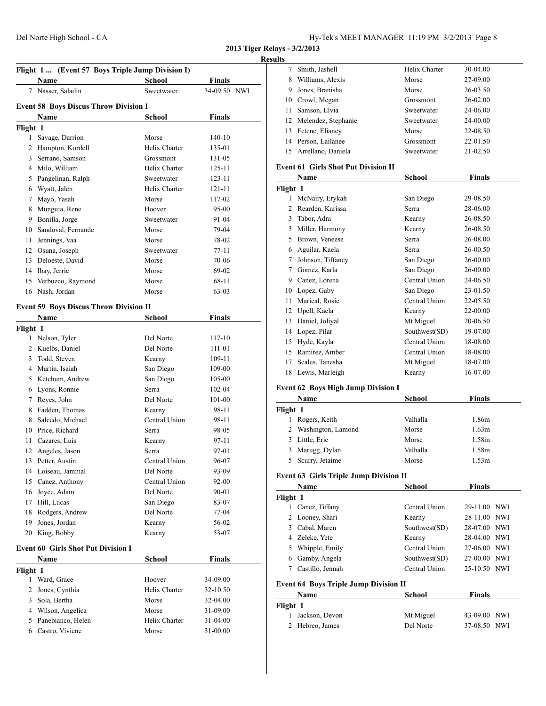| Hy-Tek's MEET MANAGER 11:19 PM 3/2/2013 Page 8 |  |  |  |
|------------------------------------------------|--|--|--|
|------------------------------------------------|--|--|--|

#### **Results**

|                | Flight 1  (Event 57 Boys Triple Jump Division I) |               |               |  |
|----------------|--------------------------------------------------|---------------|---------------|--|
|                | Name                                             | <b>School</b> | <b>Finals</b> |  |
|                | 7 Nasser, Saladin                                | Sweetwater    | 34-09.50 NWI  |  |
|                |                                                  |               |               |  |
|                | <b>Event 58 Boys Discus Throw Division I</b>     |               |               |  |
|                | Name                                             | <b>School</b> | <b>Finals</b> |  |
| Flight 1       |                                                  |               |               |  |
| $\mathbf{1}$   | Savage, Darrion                                  | Morse         | $140 - 10$    |  |
|                | 2 Hampton, Kordell                               | Helix Charter | 135-01        |  |
|                | 3 Serrano, Samson                                | Grossmont     | 131-05        |  |
|                | 4 Milo, William                                  | Helix Charter | 125-11        |  |
|                | 5 Pangelinan, Ralph                              | Sweetwater    | 123-11        |  |
|                | 6 Wyatt, Jalen                                   | Helix Charter | 121-11        |  |
|                | 7 Mayo, Yasah                                    | Morse         | 117-02        |  |
|                | 8 Munguia, Rene                                  | Hoover        | 95-00         |  |
|                | 9 Bonilla, Jorge                                 | Sweetwater    | 91-04         |  |
| 10             | Sandoval, Fernande                               | Morse         | 79-04         |  |
| 11             | Jennings, Vaa                                    | Morse         | 78-02         |  |
|                | 12 Osuna, Joseph                                 | Sweetwater    | 77-11         |  |
|                | 13 Deloeste, David                               | Morse         | $70 - 06$     |  |
|                | 14 Ibay, Jerrie                                  | Morse         | 69-02         |  |
| 15             | Verbuzco, Raymond                                | Morse         | 68-11         |  |
|                | 16 Nash, Jordan                                  | Morse         | $63 - 03$     |  |
|                | <b>Event 59 Boys Discus Throw Division II</b>    |               |               |  |
|                | Name                                             | School        | <b>Finals</b> |  |
| Flight 1       |                                                  |               |               |  |
|                | 1 Nelson, Tyler                                  | Del Norte     | 117-10        |  |
|                | 2 Kuelbs, Daniel                                 | Del Norte     | 111-01        |  |
|                | 3 Todd, Steven                                   | Kearny        | 109-11        |  |
|                | 4 Martin, Isaiah                                 | San Diego     | 109-00        |  |
|                | 5 Ketchum, Andrew                                | San Diego     | 105-00        |  |
|                | 6 Lyons, Ronnie                                  | Serra         | 102-04        |  |
|                | 7 Reyes, John                                    | Del Norte     | 101-00        |  |
|                | 8 Fadden, Thomas                                 | Kearny        | 98-11         |  |
| 8              | Salcedo, Michael                                 | Central Union | 98-11         |  |
|                | 10 Price, Richard                                | Serra         | 98-05         |  |
| 11 -           | Cazares, Luis                                    | Kearny        | 97-11         |  |
|                | 12 Angeles, Jason                                | Serra         | 97-01         |  |
|                | 13 Petter, Austin                                | Central Union | 96-07         |  |
|                | 14 Loiseau, Jammal                               | Del Norte     | 93-09         |  |
|                | 15 Canez, Anthony                                | Central Union | 92-00         |  |
|                | 16 Joyce, Adam                                   | Del Norte     | 90-01         |  |
|                | 17 Hill, Lucas                                   | San Diego     | 83-07         |  |
|                | 18 Rodgers, Andrew                               | Del Norte     | 77-04         |  |
| 19             | Jones, Jordan                                    | Kearny        | 56-02         |  |
| 20             | King, Bobby                                      | Kearny        | 53-07         |  |
|                |                                                  |               |               |  |
|                | <b>Event 60 Girls Shot Put Division I</b>        |               |               |  |
|                | Name                                             | <b>School</b> | <b>Finals</b> |  |
| Flight 1       |                                                  |               |               |  |
|                | 1 Ward, Grace                                    | Hoover        | 34-09.00      |  |
| $\overline{2}$ | Jones, Cynthia                                   | Helix Charter | 32-10.50      |  |
| 3              | Sola, Bertha                                     | Morse         | 32-04.00      |  |
|                | 4 Wilson, Angelica                               | Morse         | 31-09.00      |  |
|                | 5 Panebianco, Helen                              | Helix Charter | 31-04.00      |  |
|                | 6 Castro, Viviene                                | Morse         | 31-00.00      |  |

| s  |                        |               |              |
|----|------------------------|---------------|--------------|
|    | Smith, Jashell         | Helix Charter | 30-04.00     |
| 8  | Williams, Alexis       | Morse         | 27-09.00     |
| 9  | Jones, Branisha        | Morse         | 26-03.50     |
|    | 10 Crowl, Megan        | Grossmont     | $26 - 02.00$ |
| 11 | Samson, Elvia          | Sweetwater    | 24-06.00     |
|    | 12 Melendez, Stephanie | Sweetwater    | 24-00.00     |
| 13 | Fetene, Elianey        | Morse         | 22-08.50     |
| 14 | Person, Lailanee       | Grossmont     | 22-01.50     |
|    | 15 Arrellano, Daniela  | Sweetwater    | $21 - 02.50$ |
|    |                        |               |              |

## **Event 61 Girls Shot Put Division II**

|          | Name              | <b>School</b> | Finals   |
|----------|-------------------|---------------|----------|
| Flight 1 |                   |               |          |
|          | McNairy, Erykah   | San Diego     | 29-08.50 |
| 2        | Rearden, Karissa  | Serra         | 28-06.00 |
| 3        | Tabor, Adra       | Kearny        | 26-08.50 |
| 3        | Miller, Harmony   | Kearny        | 26-08.50 |
| 5        | Brown, Veneese    | Serra         | 26-08.00 |
| 6        | Aguilar, Kaela    | Serra         | 26-00.50 |
| 7        | Johnson, Tiffaney | San Diego     | 26-00.00 |
| 7        | Gomez, Karla      | San Diego     | 26-00.00 |
| 9        | Canez, Lorena     | Central Union | 24-06.50 |
| 10       | Lopez, Gaby       | San Diego     | 23-01.50 |
| 11       | Marical, Rosie    | Central Union | 22-05.50 |
| 12       | Upell, Kaela      | Kearny        | 22-00.00 |
| 13       | Daniel, Joliyal   | Mt Miguel     | 20-06.50 |
| 14       | Lopez, Pilar      | Southwest(SD) | 19-07.00 |
| 15       | Hyde, Kayla       | Central Union | 18-08.00 |
| 15       | Ramirez, Amber    | Central Union | 18-08.00 |
| 17       | Scales, Tanesha   | Mt Miguel     | 18-07.00 |
| 18       | Lewis, Marleigh   | Kearny        | 16-07.00 |

# **Event 62 Boys High Jump Division I**

|          | Name                 | School   | Finals |  |
|----------|----------------------|----------|--------|--|
| Flight 1 |                      |          |        |  |
|          | Rogers, Keith        | Valhalla | 1.86m  |  |
|          | 2 Washington, Lamond | Morse    | 1.63m  |  |
|          | 3 Little, Eric       | Morse    | 1.58m  |  |
|          | 3 Marugg, Dylan      | Valhalla | 1.58m  |  |
|          | 5 Scurry, Jetaime    | Morse    | 1.53m  |  |

# **Event 63 Girls Triple Jump Division II**

|          | Name                                         | School        | <b>Finals</b> |  |
|----------|----------------------------------------------|---------------|---------------|--|
| Flight 1 |                                              |               |               |  |
|          | Canez, Tiffany                               | Central Union | 29-11.00 NWI  |  |
|          | 2 Looney, Shari                              | Kearny        | 28-11.00 NWI  |  |
| 3        | Cabal, Maren                                 | Southwest(SD) | 28-07.00 NWI  |  |
|          | 4 Zeleke, Yete                               | Kearny        | 28-04.00 NWI  |  |
| 5.       | Whipple, Emily                               | Central Union | 27-06.00 NWI  |  |
| 6        | Gamby, Angela                                | Southwest(SD) | 27-00.00 NWI  |  |
|          | Castillo, Jennah                             | Central Union | 25-10.50 NWI  |  |
|          | <b>Event 64 Boys Triple Jump Division II</b> |               |               |  |
|          | Name                                         | School        | <b>Finals</b> |  |

| .                | .         | ----------   |
|------------------|-----------|--------------|
| Flight 1         |           |              |
| 1 Jackson, Devon | Mt Miguel | 43-09.00 NWI |
| 2 Hebreo, James  | Del Norte | 37-08.50 NWI |